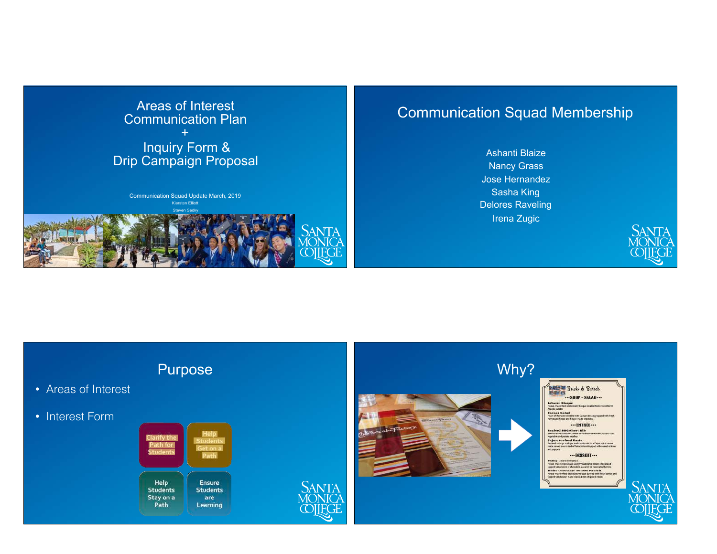

# Communication Squad Membership

Ashanti Blaize Nancy Grass Jose Hernandez Sasha King Delores Raveling Irena Zugic



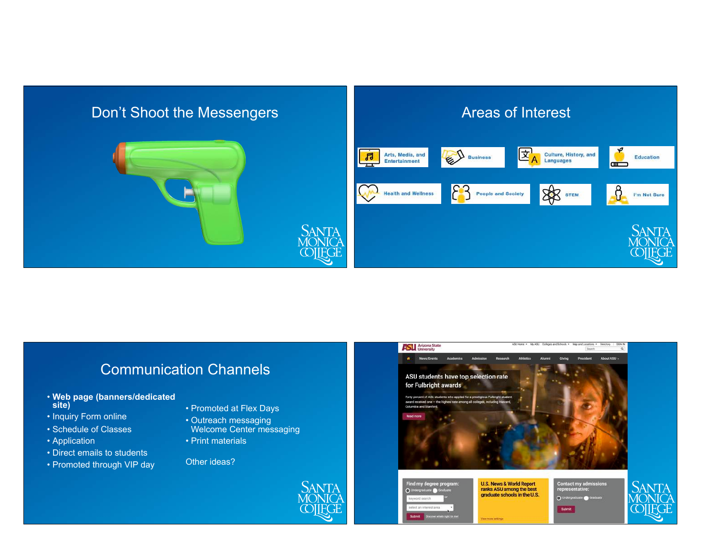

## Communication Channels

- **Web page (banners/dedicated site)**
- Inquiry Form online
- Schedule of Classes
- Application
- Direct emails to students
- Promoted through VIP day
- Promoted at Flex Days
- Outreach messaging Welcome Center messaging
- Print materials

Other ideas?

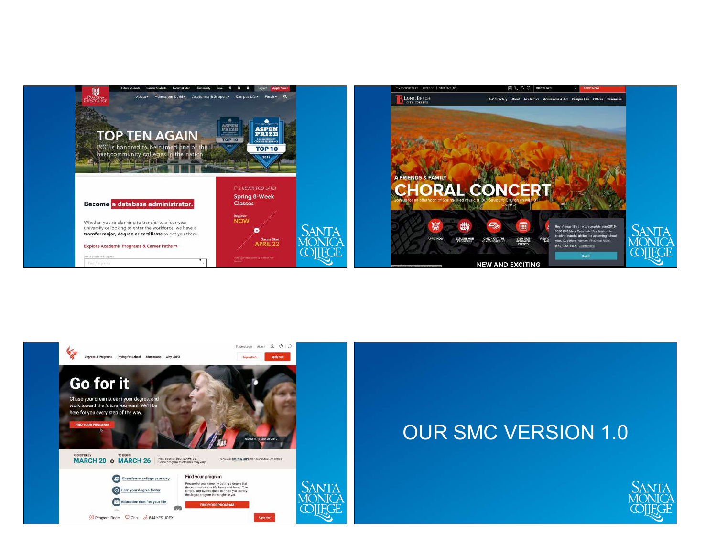

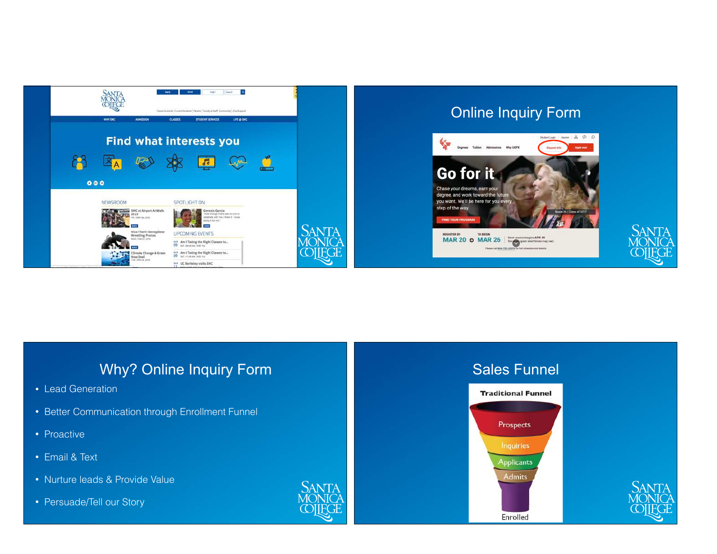

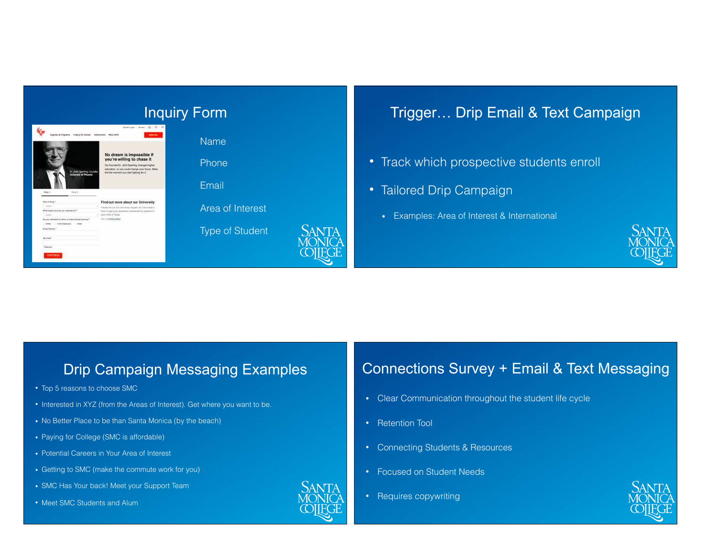

## Trigger… Drip Email & Text Campaign

- Track which prospective students enroll
- Tailored Drip Campaign
	- Examples: Area of Interest & International



#### Drip Campaign Messaging Examples

- Top 5 reasons to choose SMC
- Interested in XYZ (from the Areas of Interest). Get where you want to be.
- No Better Place to be than Santa Monica (by the beach)
- Paying for College (SMC is affordable)
- Potential Careers in Your Area of Interest
- Getting to SMC (make the commute work for you)
- SMC Has Your back! Meet your Support Team
- Meet SMC Students and Alum



#### Connections Survey + Email & Text Messaging

- Clear Communication throughout the student life cycle
- Retention Tool
- Connecting Students & Resources
- Focused on Student Needs
- Requires copywriting